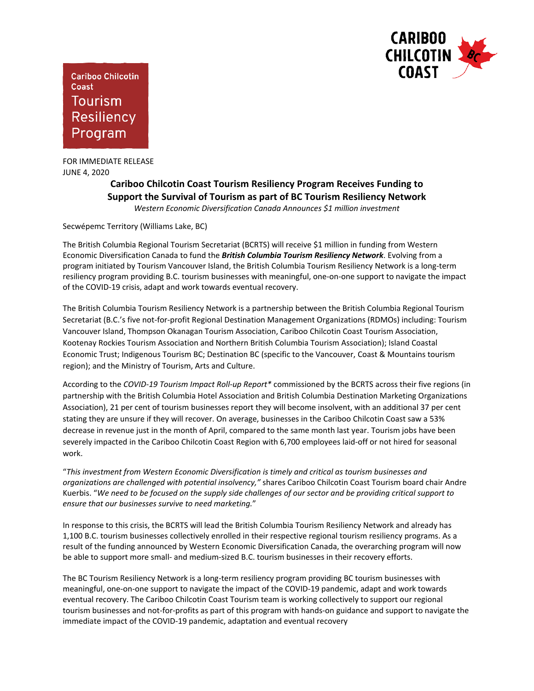

**Cariboo Chilcotin** Coast **Tourism Resiliency** Program

FOR IMMEDIATE RELEASE JUNE 4, 2020

## **Cariboo Chilcotin Coast Tourism Resiliency Program Receives Funding to Support the Survival of Tourism as part of BC Tourism Resiliency Network**

*Western Economic Diversification Canada Announces \$1 million investment*

Secwépemc Territory (Williams Lake, BC)

The British Columbia Regional Tourism Secretariat (BCRTS) will receive \$1 million in funding from Western Economic Diversification Canada to fund the *British Columbia Tourism Resiliency Network*. Evolving from a program initiated by Tourism Vancouver Island, the British Columbia Tourism Resiliency Network is a long-term resiliency program providing B.C. tourism businesses with meaningful, one-on-one support to navigate the impact of the COVID-19 crisis, adapt and work towards eventual recovery.

The British Columbia Tourism Resiliency Network is a partnership between the British Columbia Regional Tourism Secretariat (B.C.'s five not-for-profit Regional Destination Management Organizations (RDMOs) including: Tourism Vancouver Island, Thompson Okanagan Tourism Association, Cariboo Chilcotin Coast Tourism Association, Kootenay Rockies Tourism Association and Northern British Columbia Tourism Association); Island Coastal Economic Trust; Indigenous Tourism BC; Destination BC (specific to the Vancouver, Coast & Mountains tourism region); and the Ministry of Tourism, Arts and Culture.

According to the *COVID-19 Tourism Impact Roll-up Report\** commissioned by the BCRTS across their five regions (in partnership with the British Columbia Hotel Association and British Columbia Destination Marketing Organizations Association), 21 per cent of tourism businesses report they will become insolvent, with an additional 37 per cent stating they are unsure if they will recover. On average, businesses in the Cariboo Chilcotin Coast saw a 53% decrease in revenue just in the month of April, compared to the same month last year. Tourism jobs have been severely impacted in the Cariboo Chilcotin Coast Region with 6,700 employees laid-off or not hired for seasonal work.

"*This investment from Western Economic Diversification is timely and critical as tourism businesses and organizations are challenged with potential insolvency,"* shares Cariboo Chilcotin Coast Tourism board chair Andre Kuerbis. "*We need to be focused on the supply side challenges of our sector and be providing critical support to ensure that our businesses survive to need marketing.*"

In response to this crisis, the BCRTS will lead the British Columbia Tourism Resiliency Network and already has 1,100 B.C. tourism businesses collectively enrolled in their respective regional tourism resiliency programs. As a result of the funding announced by Western Economic Diversification Canada, the overarching program will now be able to support more small- and medium-sized B.C. tourism businesses in their recovery efforts.

The BC Tourism Resiliency Network is a long-term resiliency program providing BC tourism businesses with meaningful, one-on-one support to navigate the impact of the COVID-19 pandemic, adapt and work towards eventual recovery. The Cariboo Chilcotin Coast Tourism team is working collectively to support our regional tourism businesses and not-for-profits as part of this program with hands-on guidance and support to navigate the immediate impact of the COVID-19 pandemic, adaptation and eventual recovery